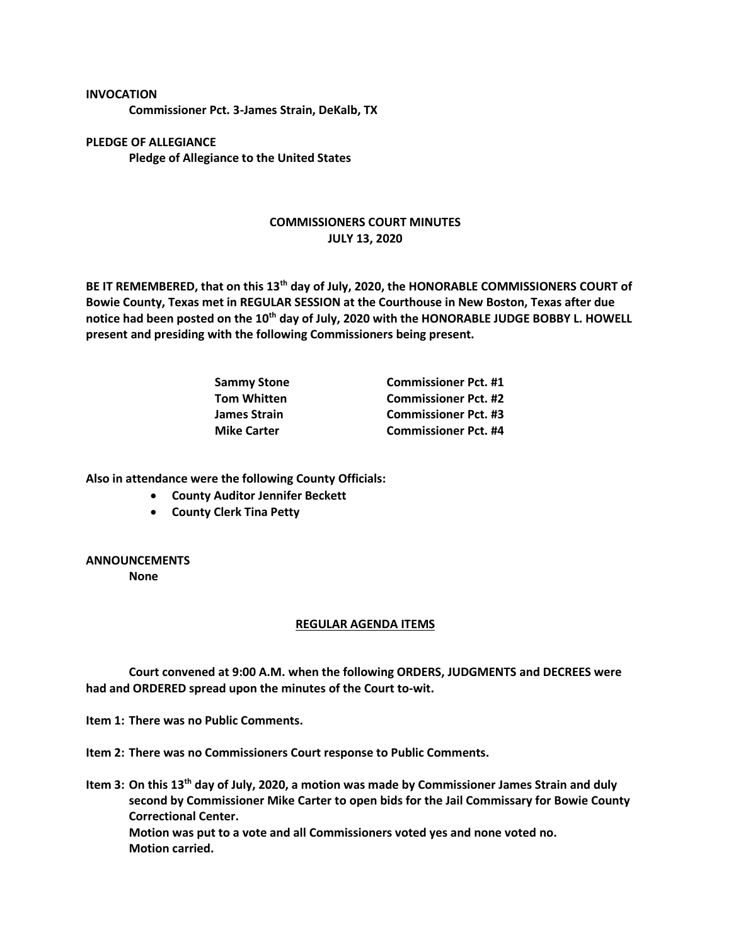**Commissioner Pct. 3-James Strain, DeKalb, TX**

**PLEDGE OF ALLEGIANCE Pledge of Allegiance to the United States**

**INVOCATION**

## **COMMISSIONERS COURT MINUTES JULY 13, 2020**

**BE IT REMEMBERED, that on this 13th day of July, 2020, the HONORABLE COMMISSIONERS COURT of Bowie County, Texas met in REGULAR SESSION at the Courthouse in New Boston, Texas after due notice had been posted on the 10th day of July, 2020 with the HONORABLE JUDGE BOBBY L. HOWELL present and presiding with the following Commissioners being present.**

| Sammy Stone        | <b>Commissioner Pct. #1</b> |
|--------------------|-----------------------------|
| Tom Whitten        | <b>Commissioner Pct. #2</b> |
| James Strain       | <b>Commissioner Pct. #3</b> |
| <b>Mike Carter</b> | <b>Commissioner Pct. #4</b> |

**Also in attendance were the following County Officials:**

- **County Auditor Jennifer Beckett**
- **County Clerk Tina Petty**

## **ANNOUNCEMENTS**

**None**

## **REGULAR AGENDA ITEMS**

**Court convened at 9:00 A.M. when the following ORDERS, JUDGMENTS and DECREES were had and ORDERED spread upon the minutes of the Court to-wit.**

**Item 1: There was no Public Comments.**

**Item 2: There was no Commissioners Court response to Public Comments.**

**Item 3: On this 13th day of July, 2020, a motion was made by Commissioner James Strain and duly second by Commissioner Mike Carter to open bids for the Jail Commissary for Bowie County Correctional Center. Motion was put to a vote and all Commissioners voted yes and none voted no. Motion carried.**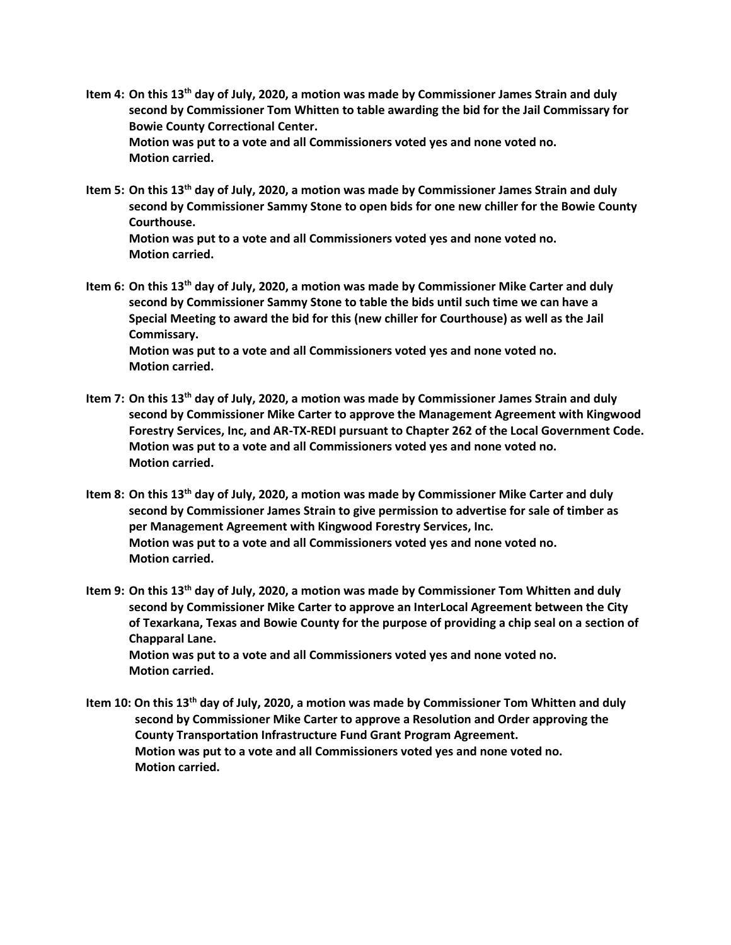- **Item 4: On this 13th day of July, 2020, a motion was made by Commissioner James Strain and duly second by Commissioner Tom Whitten to table awarding the bid for the Jail Commissary for Bowie County Correctional Center. Motion was put to a vote and all Commissioners voted yes and none voted no. Motion carried.**
- **Item 5: On this 13th day of July, 2020, a motion was made by Commissioner James Strain and duly second by Commissioner Sammy Stone to open bids for one new chiller for the Bowie County Courthouse.**

**Motion was put to a vote and all Commissioners voted yes and none voted no. Motion carried.**

- **Item 6: On this 13th day of July, 2020, a motion was made by Commissioner Mike Carter and duly second by Commissioner Sammy Stone to table the bids until such time we can have a Special Meeting to award the bid for this (new chiller for Courthouse) as well as the Jail Commissary. Motion was put to a vote and all Commissioners voted yes and none voted no. Motion carried.**
- **Item 7: On this 13th day of July, 2020, a motion was made by Commissioner James Strain and duly second by Commissioner Mike Carter to approve the Management Agreement with Kingwood Forestry Services, Inc, and AR-TX-REDI pursuant to Chapter 262 of the Local Government Code. Motion was put to a vote and all Commissioners voted yes and none voted no. Motion carried.**
- **Item 8: On this 13th day of July, 2020, a motion was made by Commissioner Mike Carter and duly second by Commissioner James Strain to give permission to advertise for sale of timber as per Management Agreement with Kingwood Forestry Services, Inc. Motion was put to a vote and all Commissioners voted yes and none voted no. Motion carried.**
- **Item 9: On this 13th day of July, 2020, a motion was made by Commissioner Tom Whitten and duly second by Commissioner Mike Carter to approve an InterLocal Agreement between the City of Texarkana, Texas and Bowie County for the purpose of providing a chip seal on a section of Chapparal Lane. Motion was put to a vote and all Commissioners voted yes and none voted no. Motion carried.**
- **Item 10: On this 13th day of July, 2020, a motion was made by Commissioner Tom Whitten and duly second by Commissioner Mike Carter to approve a Resolution and Order approving the County Transportation Infrastructure Fund Grant Program Agreement. Motion was put to a vote and all Commissioners voted yes and none voted no. Motion carried.**